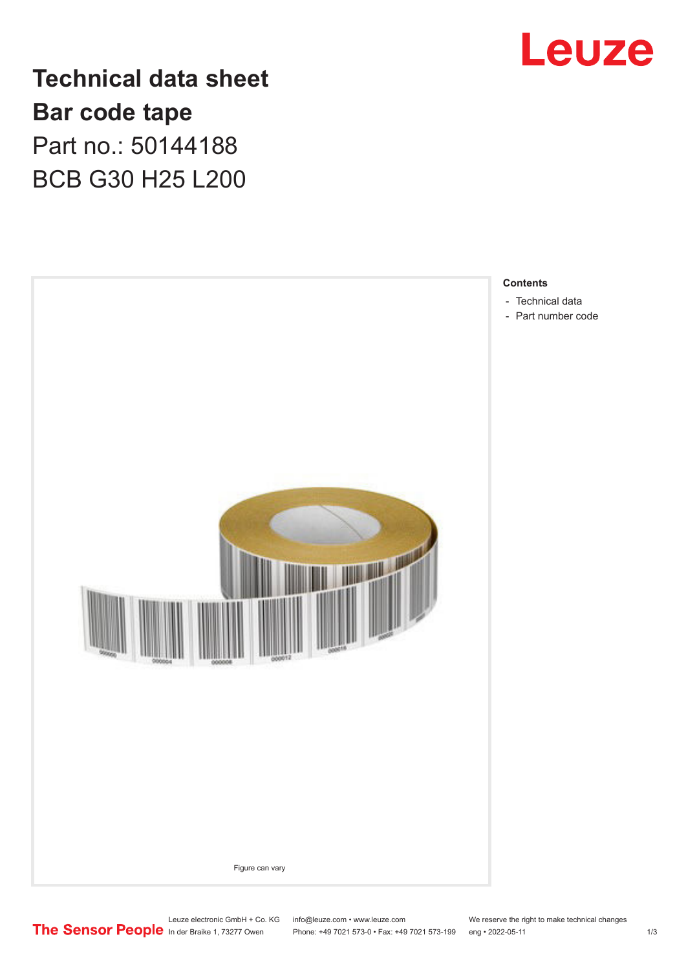

**Technical data sheet Bar code tape** Part no.: 50144188 BCB G30 H25 L200



Leuze electronic GmbH + Co. KG info@leuze.com • www.leuze.com We reserve the right to make technical changes<br>
The Sensor People in der Braike 1, 73277 Owen Phone: +49 7021 573-0 • Fax: +49 7021 573-199 eng • 2022-05-11

Phone: +49 7021 573-0 • Fax: +49 7021 573-199 eng • 2022-05-11 1 2022-05-11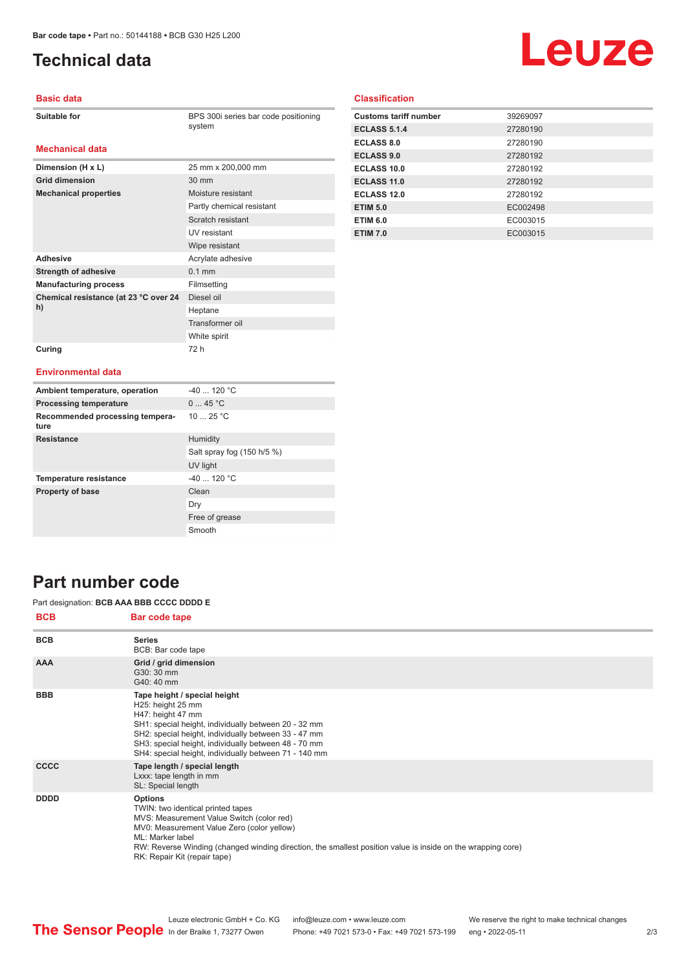**Dimension (H x L)** 25 mm x 200,000 mm

**Mechanical properties** Moisture resistant

Adhesive **Adhesive** Acrylate adhesive **Strength of adhesive** 0.1 mm **Manufacturing process** Filmsetting

**Grid dimension** 30 mm

**Chemical resistance (at 23 °C over 24** 

**Curing** 72 h

# <span id="page-1-0"></span>**Technical data**

# Leuze

#### **Basic data**

**Mechanical data**

**BPS 300i series bar code positioning** system

Partly chemical resistant Scratch resistant UV resistant Wipe resistant

Diesel oil Heptane Transformer oil White spirit

#### **Classification**

| <b>Customs tariff number</b> | 39269097 |
|------------------------------|----------|
| <b>ECLASS 5.1.4</b>          | 27280190 |
| <b>ECLASS 8.0</b>            | 27280190 |
| <b>ECLASS 9.0</b>            | 27280192 |
| ECLASS 10.0                  | 27280192 |
| <b>ECLASS 11.0</b>           | 27280192 |
| <b>ECLASS 12.0</b>           | 27280192 |
| <b>ETIM 5.0</b>              | EC002498 |
| <b>ETIM 6.0</b>              | EC003015 |
| <b>ETIM 7.0</b>              | EC003015 |

#### **Environmental data**

**h)**

| Ambient temperature, operation          | $-40$ 120 °C               |
|-----------------------------------------|----------------------------|
| <b>Processing temperature</b>           | 045 °C                     |
| Recommended processing tempera-<br>ture | 10 $25 °C$                 |
| <b>Resistance</b>                       | Humidity                   |
|                                         | Salt spray fog (150 h/5 %) |
|                                         | UV light                   |
| <b>Temperature resistance</b>           | $-40$ 120 °C               |
| <b>Property of base</b>                 | Clean                      |
|                                         | Dry                        |
|                                         | Free of grease             |
|                                         | Smooth                     |

### **Part number code**

#### Part designation: **BCB AAA BBB CCCC DDDD E**

| <b>BCB</b>  | Bar code tape                                                                                                                                                                                                                                                                                                     |
|-------------|-------------------------------------------------------------------------------------------------------------------------------------------------------------------------------------------------------------------------------------------------------------------------------------------------------------------|
| <b>BCB</b>  | <b>Series</b><br>BCB: Bar code tape                                                                                                                                                                                                                                                                               |
| <b>AAA</b>  | Grid / grid dimension<br>G30: 30 mm<br>G40: 40 mm                                                                                                                                                                                                                                                                 |
| <b>BBB</b>  | Tape height / special height<br>H25: height 25 mm<br>H47: height 47 mm<br>SH1: special height, individually between 20 - 32 mm<br>SH2: special height, individually between 33 - 47 mm<br>SH3: special height, individually between 48 - 70 mm<br>SH4: special height, individually between 71 - 140 mm           |
| <b>CCCC</b> | Tape length / special length<br>Lxxx: tape length in mm<br>SL: Special length                                                                                                                                                                                                                                     |
| <b>DDDD</b> | <b>Options</b><br>TWIN: two identical printed tapes<br>MVS: Measurement Value Switch (color red)<br>MV0: Measurement Value Zero (color yellow)<br>ML: Marker label<br>RW: Reverse Winding (changed winding direction, the smallest position value is inside on the wrapping core)<br>RK: Repair Kit (repair tape) |